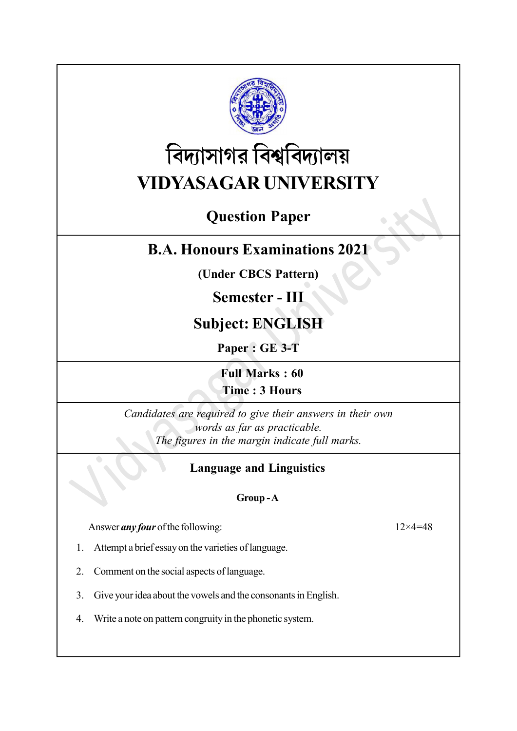

# বিদ্যাসাগর বিশ্ববিদ্যালয় VIDYASAGAR UNIVERSITY

# Question Paper

## B.A. Honours Examinations 2021

(Under CBCS Pattern)

### Semester - III

# Subject: ENGLISH

Paper : GE 3-T

Full Marks : 60 Time : 3 Hours

Candidates are required to give their answers in their own words as far as practicable. The figures in the margin indicate full marks.

### Language and Linguistics

### Group - A

Answer *any four* of the following:  $12 \times 4 = 48$ 

1. Attempt a brief essay on the varieties of language.

- 2. Comment on the social aspects of language.
- 3. Give your idea about the vowels and the consonants in English.
- 4. Write a note on pattern congruity in the phonetic system.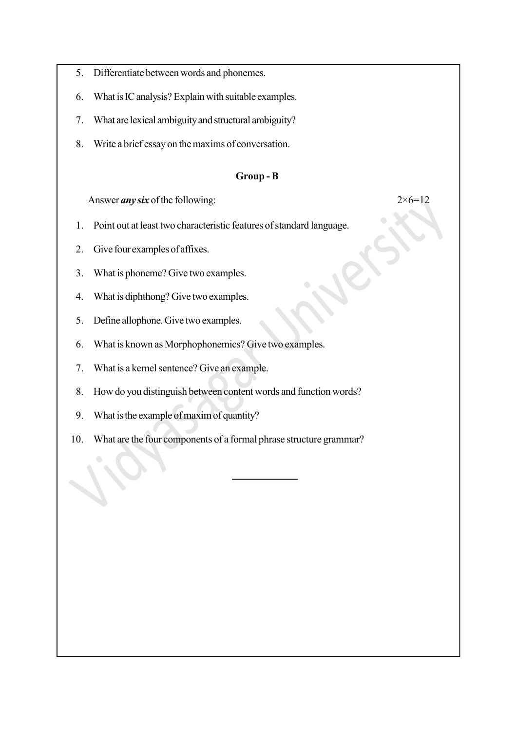- 5. Differentiate between words and phonemes.
- 6. What is IC analysis? Explain with suitable examples.
- 7. What are lexical ambiguity and structural ambiguity?
- 8. Write a brief essay on the maxims of conversation.

#### Group - B

Answer *any six* of the following:  $2 \times 6 = 12$ 

- 1. Point out at least two characteristic features of standard language.
- 2. Give four examples of affixes.
- 3. What is phoneme? Give two examples.
- 4. What is diphthong? Give two examples.
- 5. Define allophone. Give two examples.
- 6. What is known as Morphophonemics? Give two examples.
- 7. What is a kernel sentence? Give an example.
- 8. How do you distinguish between content words and function words?
- 9. What is the example of maxim of quantity?
- 10. What are the four components of a formal phrase structure grammar?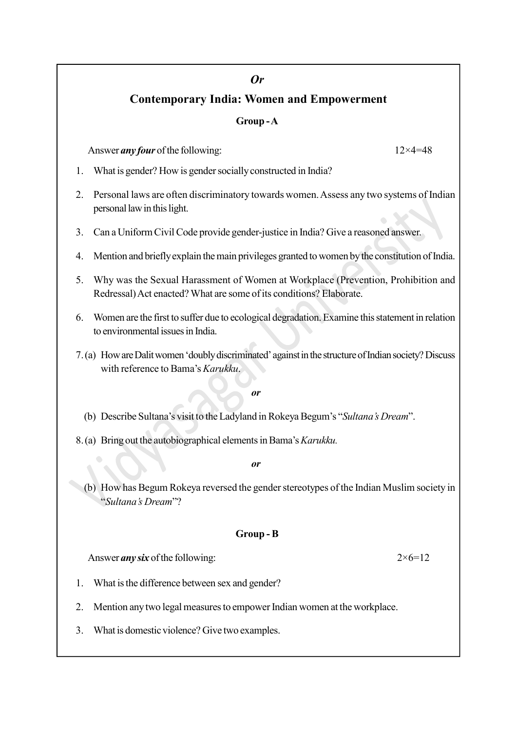### Or Contemporary India: Women and Empowerment

#### Group - A

Answer *any four* of the following:  $12 \times 4 = 48$ 

- 1. What is gender? How is gender socially constructed in India?
- 2. Personal laws are often discriminatory towards women. Assess any two systems of Indian personal law in this light.
- 3. Can a Uniform Civil Code provide gender-justice in India? Give a reasoned answer.
- 4. Mention and briefly explain the main privileges granted to women by the constitution of India.
- 5. Why was the Sexual Harassment of Women at Workplace (Prevention, Prohibition and Redressal) Act enacted? What are some of its conditions? Elaborate.
- 6. Women are the first to suffer due to ecological degradation. Examine this statement in relation to environmental issues in India.
- 7.(a) How are Dalit women 'doubly discriminated' against in the structure of Indian society? Discuss with reference to Bama's Karukku.

#### or

- (b) Describe Sultana's visit to the Ladyland in Rokeya Begum's "Sultana's Dream".
- 8.(a) Bring out the autobiographical elements in Bama's Karukku.

#### or

(b) How has Begum Rokeya reversed the gender stereotypes of the Indian Muslim society in "Sultana's Dream"?

#### Group - B

Answer *any six* of the following:  $2 \times 6 = 12$ 

- 1. What is the difference between sex and gender?
- 2. Mention any two legal measures to empower Indian women at the workplace.
- 3. What is domestic violence? Give two examples.